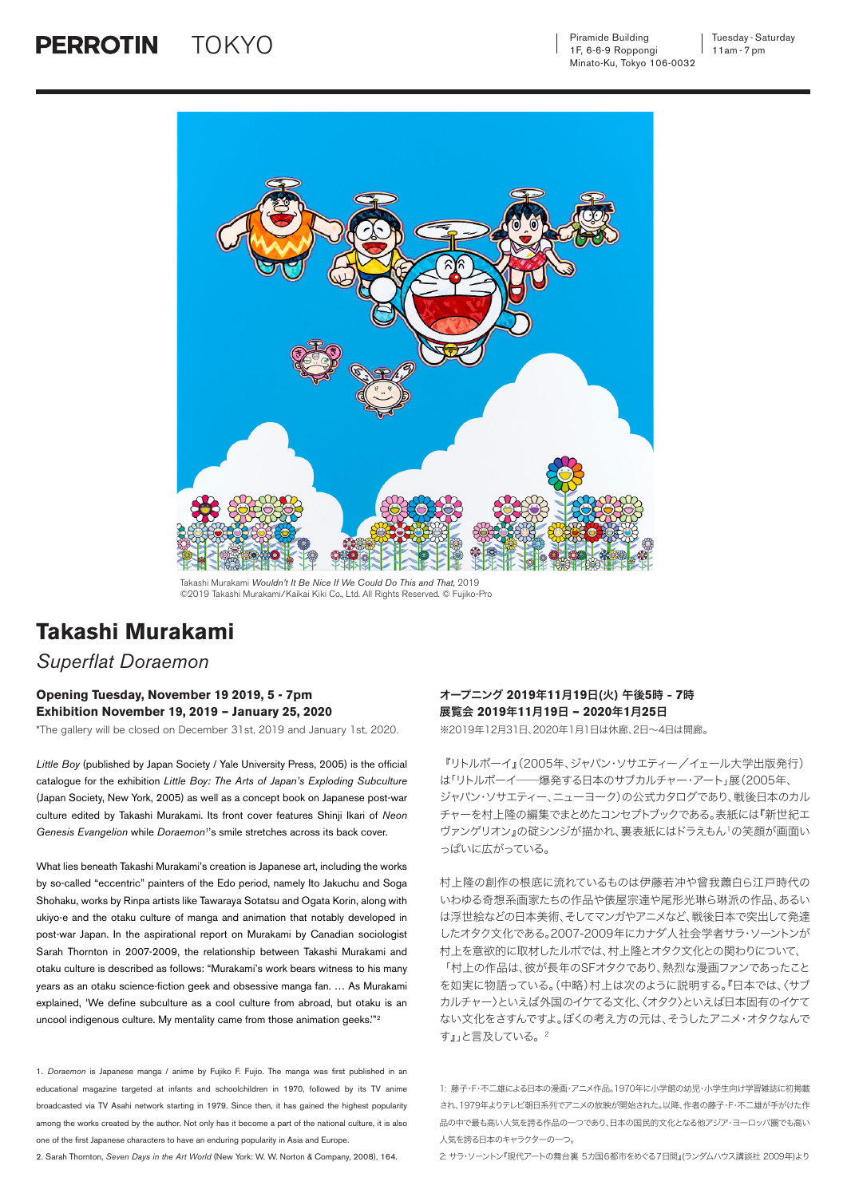Piramide Building 1F, 6-6-9 Roppongi Minato-Ku, Tokyo 106-0032  $\text{TOKYO} \longrightarrow$   $\text{Piramide Building} \longrightarrow$  Tuesday - Saturday



Takashi Murakami *Wouldn't It Be Nice If We Could Do This and That,* 2019 ©2019 Takashi Murakami/Kaikai Kiki Co., Ltd. All Rights Reserved. © Fujiko-Pro

## **Takashi Murakami**

## *Superflat Doraemon*

## **Opening Tuesday, November 19 2019, 5 - 7pm Exhibition November 19, 2019 – January 25, 2020**

\*The gallery will be closed on December 31st, 2019 and January 1st, 2020.

*Little Boy* (published by Japan Society / Yale University Press, 2005) is the official catalogue for the exhibition *Little Boy: The Arts of Japan's Exploding Subculture*  (Japan Society, New York, 2005) as well as a concept book on Japanese post-war culture edited by Takashi Murakami. Its front cover features Shinji Ikari of *Neon*  Genesis Evangelion while *Doraemon*<sup>1</sup>'s smile stretches across its back cover.

What lies beneath Takashi Murakami's creation is Japanese art, including the works by so-called "eccentric" painters of the Edo period, namely Ito Jakuchu and Soga Shohaku, works by Rinpa artists like Tawaraya Sotatsu and Ogata Korin, along with ukiyo-e and the otaku culture of manga and animation that notably developed in post-war Japan. In the aspirational report on Murakami by Canadian sociologist Sarah Thornton in 2007-2009, the relationship between Takashi Murakami and otaku culture is described as follows: "Murakami's work bears witness to his many years as an otaku science-fiction geek and obsessive manga fan. … As Murakami explained, 'We define subculture as a cool culture from abroad, but otaku is an uncool indigenous culture. My mentality came from those animation geeks.'"2

1. *Doraemon* is Japanese manga / anime by Fujiko F. Fujio. The manga was first published in an educational magazine targeted at infants and schoolchildren in 1970, followed by its TV anime broadcasted via TV Asahi network starting in 1979. Since then, it has gained the highest popularity among the works created by the author. Not only has it become a part of the national culture, it is also one of the first Japanese characters to have an enduring popularity in Asia and Europe.

2. Sarah Thornton, *Seven Days in the Art World* (New York: W. W. Norton & Company, 2008), 164.

## オープニング **2019**年**11**月**19**日(火) 午後**5**時 - **7**時 展覧会 **2019**年**11**月**19**日 **– 2020**年**1**月**25**日

す』」と言及している。2

※2019年12月31日、2020年1月1日は休廊、2日〜4日は開廊。

『リトルボーイ』(2005年、ジャパン・ソサエティー/イェール大学出版発行) は「リトルボーイ──爆発する日本のサブカルチャー・アート」展(2005年、 ジャパン・ソサエティー、ニューヨーク)の公式カタログであり、戦後日本のカル チャーを村上隆の編集でまとめたコンセプトブックである。表紙には『新世紀エ ヴァンゲリオン』の碇シンジが描かれ、裏表紙にはドラえもん1の笑顔が画面い っぱいに広がっている。

村上隆の創作の根底に流れているものは伊藤若冲や曾我蕭白ら江戸時代の いわゆる奇想系画家たちの作品や俵屋宗達や尾形光琳ら琳派の作品、あるい は浮世絵などの日本美術、そしてマンガやアニメなど、戦後日本で突出して発達 したオタク文化である。2007-2009年にカナダ人社会学者サラ・ソーントンが 村上を意欲的に取材したルポでは、村上隆とオタク文化との関わりについて、 「村上の作品は、彼が長年のSFオタクであり、熱烈な漫画ファンであったこと を如実に物語っている。(中略)村上は次のように説明する。『日本では、〈サブ カルチャー〉といえば外国のイケてる文化、〈オタク〉といえば日本固有のイケて ない文化をさすんですよ。ぼくの考え方の元は、そうしたアニメ・オタクなんで

1: 藤子・F・不二雄による日本の漫画・アニメ作品。1970年に小学館の幼児・小学生向け学習雑誌に初掲載 され、1979年よりテレビ朝日系列でアニメの放映が開始された。以降、作者の藤子・F・不二雄が手がけた作 品の中で最も高い人気を誇る作品の一つであり、日本の国民的文化となる他アジア・ヨーロッパ圏でも高い 人気を誇る日本のキャラクターの一つ

2: サラ・ソーントン『現代アートの舞台裏 5カ国6都市をめぐる7日間』(ランダムハウス講談社 2009年)より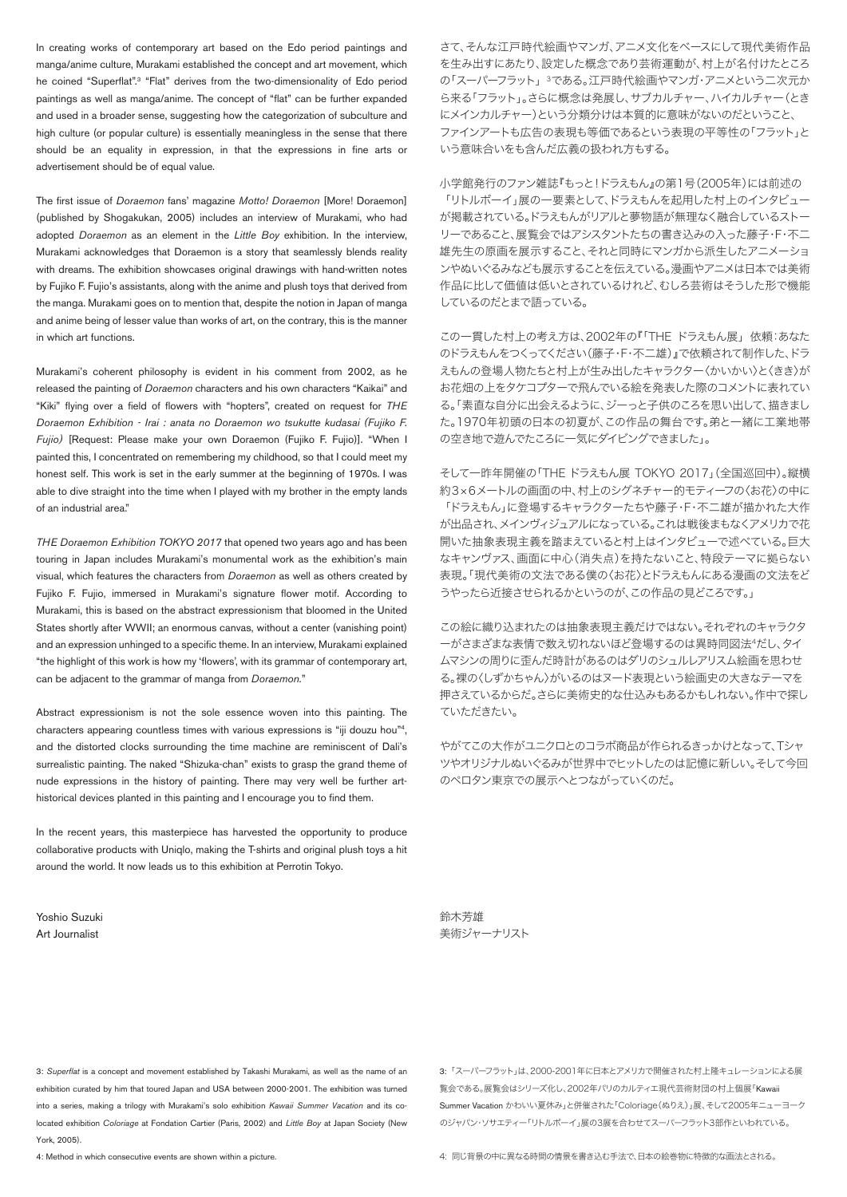In creating works of contemporary art based on the Edo period paintings and manga/anime culture, Murakami established the concept and art movement, which he coined "Superflat".<sup>3</sup> "Flat" derives from the two-dimensionality of Edo period paintings as well as manga/anime. The concept of "flat" can be further expanded and used in a broader sense, suggesting how the categorization of subculture and high culture (or popular culture) is essentially meaningless in the sense that there should be an equality in expression, in that the expressions in fine arts or advertisement should be of equal value.

The first issue of *Doraemon* fans' magazine *Motto! Doraemon* [More! Doraemon] (published by Shogakukan, 2005) includes an interview of Murakami, who had adopted *Doraemon* as an element in the *Little Boy* exhibition. In the interview, Murakami acknowledges that Doraemon is a story that seamlessly blends reality with dreams. The exhibition showcases original drawings with hand-written notes by Fujiko F. Fujio's assistants, along with the anime and plush toys that derived from the manga. Murakami goes on to mention that, despite the notion in Japan of manga and anime being of lesser value than works of art, on the contrary, this is the manner in which art functions.

Murakami's coherent philosophy is evident in his comment from 2002, as he released the painting of *Doraemon* characters and his own characters "Kaikai" and "Kiki" flying over a field of flowers with "hopters", created on request for *THE Doraemon Exhibition - Irai : anata no Doraemon wo tsukutte kudasai (Fujiko F. Fujio)* [Request: Please make your own Doraemon (Fujiko F. Fujio)]. "When I painted this, I concentrated on remembering my childhood, so that I could meet my honest self. This work is set in the early summer at the beginning of 1970s. I was able to dive straight into the time when I played with my brother in the empty lands of an industrial area."

*THE Doraemon Exhibition TOKYO 2017* that opened two years ago and has been touring in Japan includes Murakami's monumental work as the exhibition's main visual, which features the characters from *Doraemon* as well as others created by Fujiko F. Fujio, immersed in Murakami's signature flower motif. According to Murakami, this is based on the abstract expressionism that bloomed in the United States shortly after WWII; an enormous canvas, without a center (vanishing point) and an expression unhinged to a specific theme. In an interview, Murakami explained "the highlight of this work is how my 'flowers', with its grammar of contemporary art, can be adjacent to the grammar of manga from *Doraemon.*"

Abstract expressionism is not the sole essence woven into this painting. The characters appearing countless times with various expressions is "iij douzu hou"<sup>4</sup>. and the distorted clocks surrounding the time machine are reminiscent of Dali's surrealistic painting. The naked "Shizuka-chan" exists to grasp the grand theme of nude expressions in the history of painting. There may very well be further arthistorical devices planted in this painting and I encourage you to find them.

In the recent years, this masterpiece has harvested the opportunity to produce collaborative products with Uniqlo, making the T-shirts and original plush toys a hit around the world. It now leads us to this exhibition at Perrotin Tokyo.

Yoshio Suzuki Art Journalist

さて、そんな江戸時代絵画やマンガ、アニメ文化をベースにして現代美術作品 を生み出すにあたり、設定した概念であり芸術運動が、村上が名付けたところ の「スーパーフラット」<sup>3</sup>である。江戸時代絵画やマンガ・アニメという二次元か ら来る「フラット」。さらに概念は発展し、サブカルチャー、ハイカルチャー(とき にメインカルチャー)という分類分けは本質的に意味がないのだということ、 ファインアートも広告の表現も等価であるという表現の平等性の「フラット」と いう意味合いをも含んだ広義の扱われ方もする。

小学館発行のファン雑誌『もっと!ドラえもん』の第1号(2005年)には前述の 「リトルボーイ」展の一要素として、ドラえもんを起用した村上のインタビュー が掲載されている。ドラえもんがリアルと夢物語が無理なく融合しているストー リーであること、展覧会ではアシスタントたちの書き込みの入った藤子・F・不二 雄先生の原画を展示すること、それと同時にマンガから派生したアニメーショ ンやぬいぐるみなども展示することを伝えている。漫画やアニメは日本では美術 作品に比して価値は低いとされているけれど、むしろ芸術はそうした形で機能 しているのだとまで語っている。

この一貫した村上の考え方は、2002年の『「THE ドラえもん展」 依頼:あなた のドラえもんをつくってください(藤子・F・不二雄)』で依頼されて制作した、ドラ えもんの登場人物たちと村上が生み出したキャラクター〈かいかい〉と〈きき〉が お花畑の上をタケコプターで飛んでいる絵を発表した際のコメントに表れてい る。「素直な自分に出会えるように、ジーっと子供のころを思い出して、描きまし た。1970年初頭の日本の初夏が、この作品の舞台です。弟と一緒に工業地帯 の空き地で遊んでたころに一気にダイビングできました」。

そして一昨年開催の「THE ドラえもん展 TOKYO 2017」(全国巡回中)。縦横 約3×6メートルの画面の中、村上のシグネチャー的モティーフの〈お花〉の中に 「ドラえもん」に登場するキャラクターたちや藤子・F・不二雄が描かれた大作 が出品され、メインヴィジュアルになっている。これは戦後まもなくアメリカで花 開いた抽象表現主義を踏まえていると村上はインタビューで述べている。巨大 なキャンヴァス、画面に中心(消失点)を持たないこと、特段テーマに拠らない 表現。「現代美術の文法である僕の〈お花〉とドラえもんにある漫画の文法をど うやったら近接させられるかというのが、この作品の見どころです。」

この絵に織り込まれたのは抽象表現主義だけではない。それぞれのキャラクタ ーがさまざまな表情で数え切れないほど登場するのは異時同図法4だし、タイ ムマシンの周りに歪んだ時計があるのはダリのシュルレアリスム絵画を思わせ る。裸の〈しずかちゃん〉がいるのはヌード表現という絵画史の大きなテーマを 押さえているからだ。さらに美術史的な仕込みもあるかもしれない。作中で探し ていただきたい。

やがてこの大作がユニクロとのコラボ商品が作られるきっかけとなって、Tシャ ツやオリジナルぬいぐるみが世界中でヒットしたのは記憶に新しい。そして今回 のペロタン東京での展示へとつながっていくのだ。

鈴木芳雄 美術ジャーナリスト

3: *Superflat* is a concept and movement established by Takashi Murakami, as well as the name of an exhibition curated by him that toured Japan and USA between 2000-2001. The exhibition was turned into a series, making a trilogy with Murakami's solo exhibition *Kawaii Summer Vacation* and its colocated exhibition *Coloriage* at Fondation Cartier (Paris, 2002) and *Little Boy* at Japan Society (New York, 2005).

4: Method in which consecutive events are shown within a picture.

3:「スーパーフラット」は、2000-2001年に日本とアメリカで開催された村上隆キュレーションによる展 覧会である。展覧会はシリーズ化し、2002年パリのカルティエ現代芸術財団の村上個展「Kawaii Summer Vacation かわいい夏休み」と併催された「Coloriage(ぬりえ)」展、そして2005年ニューヨーク のジャパン・ソサエティー「リトルボーイ」展の3展を合わせてスーパーフラット3部作といわれている。

4: 同じ背景の中に異なる時間の情景を書き込む手法で、日本の絵巻物に特徴的な画法とされる。